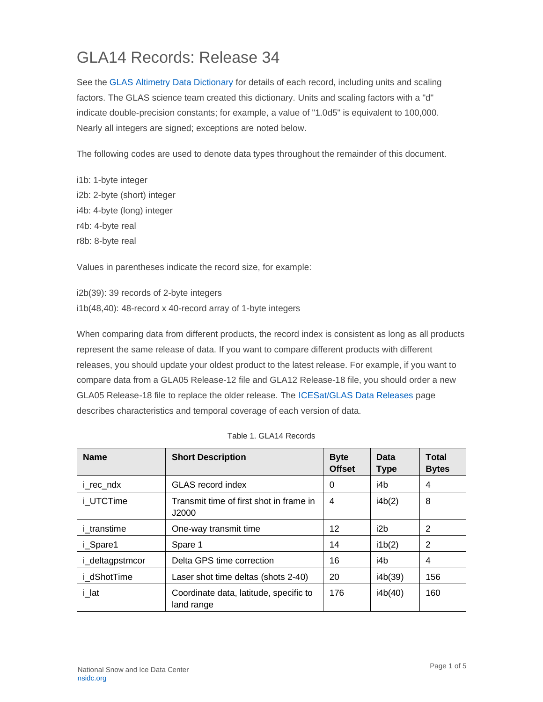## GLA14 Records: Release 34

See the [GLAS Altimetry Data Dictionary](https://nsidc.org/data/icesat/technical-references) for details of each record, including units and scaling factors. The GLAS science team created this dictionary. Units and scaling factors with a "d" indicate double-precision constants; for example, a value of "1.0d5" is equivalent to 100,000. Nearly all integers are signed; exceptions are noted below.

The following codes are used to denote data types throughout the remainder of this document.

i1b: 1-byte integer i2b: 2-byte (short) integer i4b: 4-byte (long) integer r4b: 4-byte real r8b: 8-byte real

Values in parentheses indicate the record size, for example:

i2b(39): 39 records of 2-byte integers i1b(48,40): 48-record x 40-record array of 1-byte integers

When comparing data from different products, the record index is consistent as long as all products represent the same release of data. If you want to compare different products with different releases, you should update your oldest product to the latest release. For example, if you want to compare data from a GLA05 Release-12 file and GLA12 Release-18 file, you should order a new GLA05 Release-18 file to replace the older release. The [ICESat/GLAS Data Releases](https://nsidc.org/data/icesat) page describes characteristics and temporal coverage of each version of data.

| <b>Name</b>        | <b>Short Description</b>                             | <b>Byte</b><br><b>Offset</b> | Data<br><b>Type</b> | <b>Total</b><br><b>Bytes</b> |
|--------------------|------------------------------------------------------|------------------------------|---------------------|------------------------------|
| i rec ndx          | <b>GLAS</b> record index                             | 0                            | i4b                 | 4                            |
| i UTCTime          | Transmit time of first shot in frame in<br>J2000     | 4                            | i4b(2)              | 8                            |
| <i>i</i> transtime | One-way transmit time                                | 12                           | i2b                 | 2                            |
| i Spare1           | Spare 1                                              | 14                           | i1b(2)              | 2                            |
| i_deltagpstmcor    | Delta GPS time correction                            | 16                           | i4b                 | 4                            |
| i dShotTime        | Laser shot time deltas (shots 2-40)                  | 20                           | i4b(39)             | 156                          |
| i lat              | Coordinate data, latitude, specific to<br>land range | 176                          | i4b(40)             | 160                          |

| Table 1. GLA14 Records |
|------------------------|
|                        |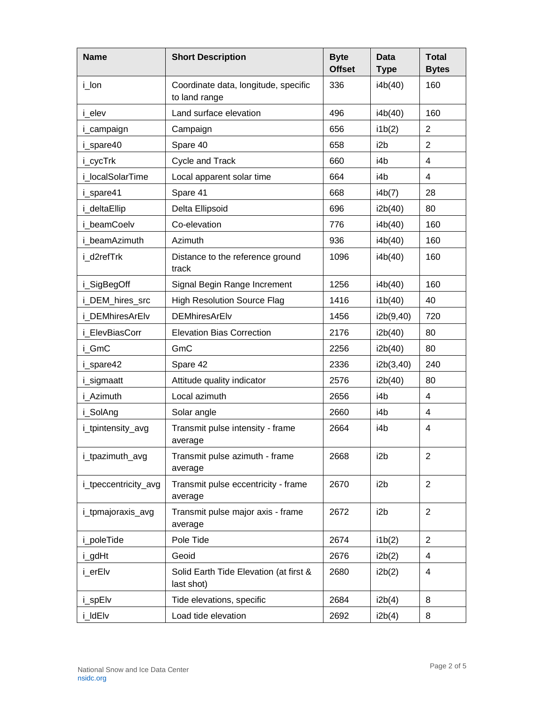| <b>Name</b>          | <b>Short Description</b>                              | <b>Byte</b><br><b>Offset</b> | <b>Data</b><br><b>Type</b> | <b>Total</b><br><b>Bytes</b> |
|----------------------|-------------------------------------------------------|------------------------------|----------------------------|------------------------------|
| i_lon                | Coordinate data, longitude, specific<br>to land range | 336                          | i4b(40)                    | 160                          |
| i elev               | Land surface elevation                                | 496                          | i4b(40)                    | 160                          |
| i_campaign           | Campaign                                              | 656                          | i1b(2)                     | 2                            |
| i_spare40            | Spare 40                                              | 658                          | i2b                        | $\overline{2}$               |
| i_cycTrk             | Cycle and Track                                       | 660                          | i4b                        | 4                            |
| i localSolarTime     | Local apparent solar time                             | 664                          | i4b                        | 4                            |
| i_spare41            | Spare 41                                              | 668                          | i4b(7)                     | 28                           |
| i_deltaEllip         | Delta Ellipsoid                                       | 696                          | i2b(40)                    | 80                           |
| i beamCoelv          | Co-elevation                                          | 776                          | i4b(40)                    | 160                          |
| i beamAzimuth        | Azimuth                                               | 936                          | i4b(40)                    | 160                          |
| i_d2refTrk           | Distance to the reference ground<br>track             | 1096                         | i4b(40)                    | 160                          |
| i_SigBegOff          | Signal Begin Range Increment                          | 1256                         | i4b(40)                    | 160                          |
| i_DEM_hires_src      | <b>High Resolution Source Flag</b>                    | 1416                         | i1b(40)                    | 40                           |
| i DEMhiresArElv      | <b>DEMhiresArElv</b>                                  | 1456                         | i2b(9,40)                  | 720                          |
| i ElevBiasCorr       | <b>Elevation Bias Correction</b>                      | 2176                         | i2b(40)                    | 80                           |
| i GmC                | GmC                                                   | 2256                         | i2b(40)                    | 80                           |
| i_spare42            | Spare 42                                              | 2336                         | i2b(3,40)                  | 240                          |
| i_sigmaatt           | Attitude quality indicator                            | 2576                         | i2b(40)                    | 80                           |
| i Azimuth            | Local azimuth                                         | 2656                         | i4b                        | $\overline{4}$               |
| i_SolAng             | Solar angle                                           | 2660                         | i4b                        | 4                            |
| i_tpintensity_avg    | Transmit pulse intensity - frame<br>average           | 2664                         | i4b                        | 4                            |
| i_tpazimuth_avg      | Transmit pulse azimuth - frame<br>average             | 2668                         | i <sub>2</sub> b           | 2                            |
| i_tpeccentricity_avg | Transmit pulse eccentricity - frame<br>average        | 2670                         | i <sub>2</sub> b           | $\overline{2}$               |
| i_tpmajoraxis_avg    | Transmit pulse major axis - frame<br>average          | 2672                         | i <sub>2</sub> b           | $\overline{2}$               |
| i_poleTide           | Pole Tide                                             | 2674                         | i1b(2)                     | $\overline{2}$               |
| i_gdHt               | Geoid                                                 | 2676                         | i2b(2)                     | 4                            |
| i_erElv              | Solid Earth Tide Elevation (at first &<br>last shot)  | 2680                         | i2b(2)                     | 4                            |
| i_spElv              | Tide elevations, specific                             | 2684                         | i2b(4)                     | 8                            |
| i_ldElv              | Load tide elevation                                   | 2692                         | i2b(4)                     | 8                            |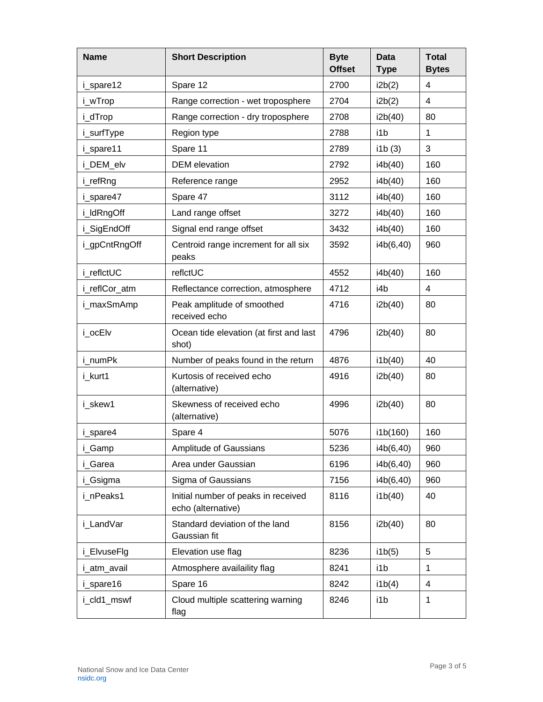| <b>Name</b>   | <b>Short Description</b>                                  | <b>Byte</b><br><b>Offset</b> | <b>Data</b><br><b>Type</b> | <b>Total</b><br><b>Bytes</b> |
|---------------|-----------------------------------------------------------|------------------------------|----------------------------|------------------------------|
| i_spare12     | Spare 12                                                  | 2700                         | i2b(2)                     | 4                            |
| i_wTrop       | Range correction - wet troposphere                        | 2704                         | i2b(2)                     | 4                            |
| i_dTrop       | Range correction - dry troposphere                        | 2708                         | i2b(40)                    | 80                           |
| i_surfType    | Region type                                               | 2788                         | i1b                        | 1                            |
| i_spare11     | Spare 11                                                  | 2789                         | i1b(3)                     | 3                            |
| i_DEM_elv     | <b>DEM</b> elevation                                      | 2792                         | i4b(40)                    | 160                          |
| i_refRng      | Reference range                                           | 2952                         | i4b(40)                    | 160                          |
| i_spare47     | Spare 47                                                  | 3112                         | i4b(40)                    | 160                          |
| i_ldRngOff    | Land range offset                                         | 3272                         | i4b(40)                    | 160                          |
| i_SigEndOff   | Signal end range offset                                   | 3432                         | i4b(40)                    | 160                          |
| i_gpCntRngOff | Centroid range increment for all six<br>peaks             | 3592                         | i4b(6,40)                  | 960                          |
| i_reflctUC    | reflctUC                                                  | 4552                         | i4b(40)                    | 160                          |
| i_reflCor_atm | Reflectance correction, atmosphere                        | 4712                         | i4b                        | 4                            |
| i_maxSmAmp    | Peak amplitude of smoothed<br>received echo               | 4716                         | i2b(40)                    | 80                           |
| i ocElv       | Ocean tide elevation (at first and last<br>shot)          | 4796                         | i2b(40)                    | 80                           |
| i numPk       | Number of peaks found in the return                       | 4876                         | i1b(40)                    | 40                           |
| i_kurt1       | Kurtosis of received echo<br>(alternative)                | 4916                         | i2b(40)                    | 80                           |
| i_skew1       | Skewness of received echo<br>(alternative)                | 4996                         | i2b(40)                    | 80                           |
| i_spare4      | Spare 4                                                   | 5076                         | i1b(160)                   | 160                          |
| i_Gamp        | Amplitude of Gaussians                                    | 5236                         | i4b(6,40)                  | 960                          |
| i_Garea       | Area under Gaussian                                       | 6196                         | i4b(6,40)                  | 960                          |
| i_Gsigma      | Sigma of Gaussians                                        | 7156                         | i4b(6,40)                  | 960                          |
| i_nPeaks1     | Initial number of peaks in received<br>echo (alternative) | 8116                         | i1b(40)                    | 40                           |
| i_LandVar     | Standard deviation of the land<br>Gaussian fit            | 8156                         | i2b(40)                    | 80                           |
| i_ElvuseFlg   | Elevation use flag                                        | 8236                         | i1b(5)                     | 5                            |
| i_atm_avail   | Atmosphere availaility flag                               | 8241                         | i1b                        | 1                            |
| i_spare16     | Spare 16                                                  | 8242                         | i1b(4)                     | 4                            |
| i_cld1_mswf   | Cloud multiple scattering warning<br>flag                 | 8246                         | i1b                        | 1                            |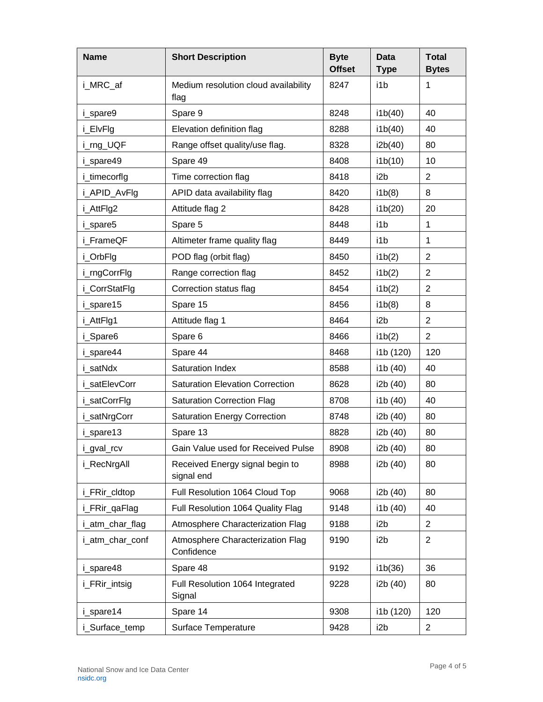| <b>Name</b>     | <b>Short Description</b>                       | <b>Byte</b><br><b>Offset</b> | <b>Data</b><br><b>Type</b> | <b>Total</b><br><b>Bytes</b> |
|-----------------|------------------------------------------------|------------------------------|----------------------------|------------------------------|
| i_MRC_af        | Medium resolution cloud availability<br>flag   | 8247                         | i1b                        | 1                            |
| i_spare9        | Spare 9                                        | 8248                         | i1b(40)                    | 40                           |
| i_ElvFlg        | Elevation definition flag                      | 8288                         | i1b(40)                    | 40                           |
| i_rng_UQF       | Range offset quality/use flag.                 | 8328                         | i2b(40)                    | 80                           |
| i spare49       | Spare 49                                       | 8408                         | i1b(10)                    | 10                           |
| i_timecorflg    | Time correction flag                           | 8418                         | i2b                        | $\overline{2}$               |
| i_APID_AvFlg    | APID data availability flag                    | 8420                         | i1b(8)                     | 8                            |
| i_AttFlg2       | Attitude flag 2                                | 8428                         | i1b(20)                    | 20                           |
| i_spare5        | Spare 5                                        | 8448                         | i1b                        | 1                            |
| i FrameQF       | Altimeter frame quality flag                   | 8449                         | i1b                        | 1                            |
| i_OrbFlg        | POD flag (orbit flag)                          | 8450                         | ib(2)                      | $\overline{2}$               |
| i_rngCorrFlg    | Range correction flag                          | 8452                         | i1b(2)                     | $\overline{2}$               |
| i_CorrStatFlg   | Correction status flag                         | 8454                         | ib(2)                      | $\overline{2}$               |
| i_spare15       | Spare 15                                       | 8456                         | i1b(8)                     | 8                            |
| i_AttFlg1       | Attitude flag 1                                | 8464                         | i <sub>2</sub> b           | $\overline{2}$               |
| i_Spare6        | Spare 6                                        | 8466                         | i1b(2)                     | $\overline{2}$               |
| i_spare44       | Spare 44                                       | 8468                         | i1b (120)                  | 120                          |
| i satNdx        | <b>Saturation Index</b>                        | 8588                         | i1b (40)                   | 40                           |
| i satElevCorr   | <b>Saturation Elevation Correction</b>         | 8628                         | i2b (40)                   | 80                           |
| i_satCorrFlg    | <b>Saturation Correction Flag</b>              | 8708                         | i1b (40)                   | 40                           |
| i_satNrgCorr    | <b>Saturation Energy Correction</b>            | 8748                         | i2b (40)                   | 80                           |
| i_spare13       | Spare 13                                       | 8828                         | i2b (40)                   | 80                           |
| _gval_rcv       | Gain Value used for Received Pulse             | 8908                         | i2b (40)                   | 80                           |
| i RecNrgAll     | Received Energy signal begin to<br>signal end  | 8988                         | i2b (40)                   | 80                           |
| i_FRir_cldtop   | Full Resolution 1064 Cloud Top                 | 9068                         | i2b (40)                   | 80                           |
| i_FRir_qaFlag   | Full Resolution 1064 Quality Flag              | 9148                         | i1b (40)                   | 40                           |
| i_atm_char_flag | Atmosphere Characterization Flag               | 9188                         | i <sub>2</sub> b           | $\overline{2}$               |
| i atm char conf | Atmosphere Characterization Flag<br>Confidence | 9190                         | i <sub>2</sub> b           | $\overline{2}$               |
| i_spare48       | Spare 48                                       | 9192                         | i1b(36)                    | 36                           |
| i_FRir_intsig   | Full Resolution 1064 Integrated<br>Signal      | 9228                         | i2b (40)                   | 80                           |
| i_spare14       | Spare 14                                       | 9308                         | i1b (120)                  | 120                          |
| i_Surface_temp  | Surface Temperature                            | 9428                         | i2b                        | $\overline{2}$               |